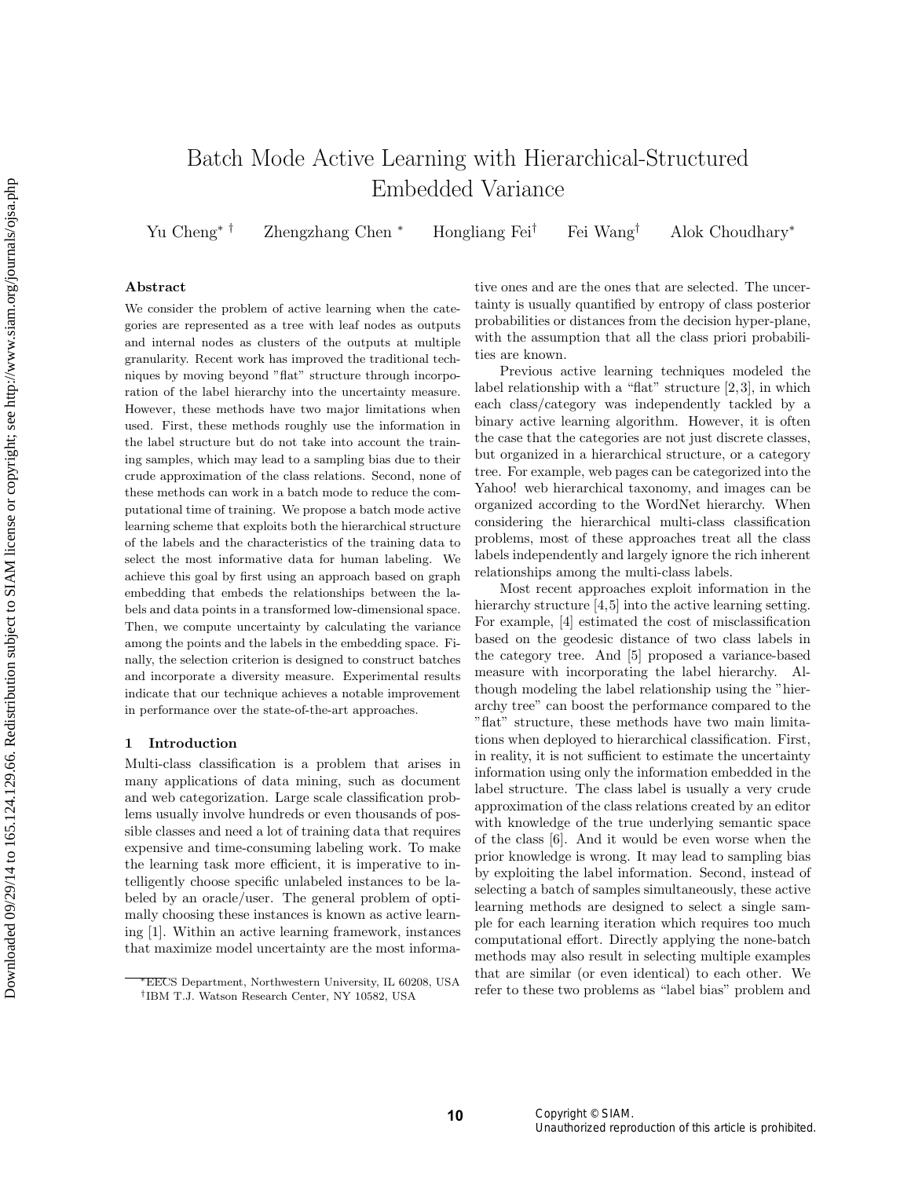# Batch Mode Active Learning with Hierarchical-Structured Embedded Variance

Yu Cheng∗ † Zhengzhang Chen <sup>∗</sup> Hongliang Fei† Fei Wang† Alok Choudhary<sup>∗</sup>

# Abstract

We consider the problem of active learning when the categories are represented as a tree with leaf nodes as outputs and internal nodes as clusters of the outputs at multiple granularity. Recent work has improved the traditional techniques by moving beyond "flat" structure through incorporation of the label hierarchy into the uncertainty measure. However, these methods have two major limitations when used. First, these methods roughly use the information in the label structure but do not take into account the training samples, which may lead to a sampling bias due to their crude approximation of the class relations. Second, none of these methods can work in a batch mode to reduce the computational time of training. We propose a batch mode active learning scheme that exploits both the hierarchical structure of the labels and the characteristics of the training data to select the most informative data for human labeling. We achieve this goal by first using an approach based on graph embedding that embeds the relationships between the labels and data points in a transformed low-dimensional space. Then, we compute uncertainty by calculating the variance among the points and the labels in the embedding space. Finally, the selection criterion is designed to construct batches and incorporate a diversity measure. Experimental results indicate that our technique achieves a notable improvement in performance over the state-of-the-art approaches.

## 1 Introduction

Multi-class classification is a problem that arises in many applications of data mining, such as document and web categorization. Large scale classification problems usually involve hundreds or even thousands of possible classes and need a lot of training data that requires expensive and time-consuming labeling work. To make the learning task more efficient, it is imperative to intelligently choose specific unlabeled instances to be labeled by an oracle/user. The general problem of optimally choosing these instances is known as active learning [1]. Within an active learning framework, instances that maximize model uncertainty are the most informative ones and are the ones that are selected. The uncertainty is usually quantified by entropy of class posterior probabilities or distances from the decision hyper-plane, with the assumption that all the class priori probabilities are known.

Previous active learning techniques modeled the label relationship with a "flat" structure [2, 3], in which each class/category was independently tackled by a binary active learning algorithm. However, it is often the case that the categories are not just discrete classes, but organized in a hierarchical structure, or a category tree. For example, web pages can be categorized into the Yahoo! web hierarchical taxonomy, and images can be organized according to the WordNet hierarchy. When considering the hierarchical multi-class classification problems, most of these approaches treat all the class labels independently and largely ignore the rich inherent relationships among the multi-class labels.

Most recent approaches exploit information in the hierarchy structure [4,5] into the active learning setting. For example, [4] estimated the cost of misclassification based on the geodesic distance of two class labels in the category tree. And [5] proposed a variance-based measure with incorporating the label hierarchy. Although modeling the label relationship using the "hierarchy tree" can boost the performance compared to the "flat" structure, these methods have two main limitations when deployed to hierarchical classification. First, in reality, it is not sufficient to estimate the uncertainty information using only the information embedded in the label structure. The class label is usually a very crude approximation of the class relations created by an editor with knowledge of the true underlying semantic space of the class [6]. And it would be even worse when the prior knowledge is wrong. It may lead to sampling bias by exploiting the label information. Second, instead of selecting a batch of samples simultaneously, these active learning methods are designed to select a single sample for each learning iteration which requires too much computational effort. Directly applying the none-batch methods may also result in selecting multiple examples that are similar (or even identical) to each other. We refer to these two problems as "label bias" problem and

<sup>∗</sup>EECS Department, Northwestern University, IL 60208, USA †IBM T.J. Watson Research Center, NY 10582, USA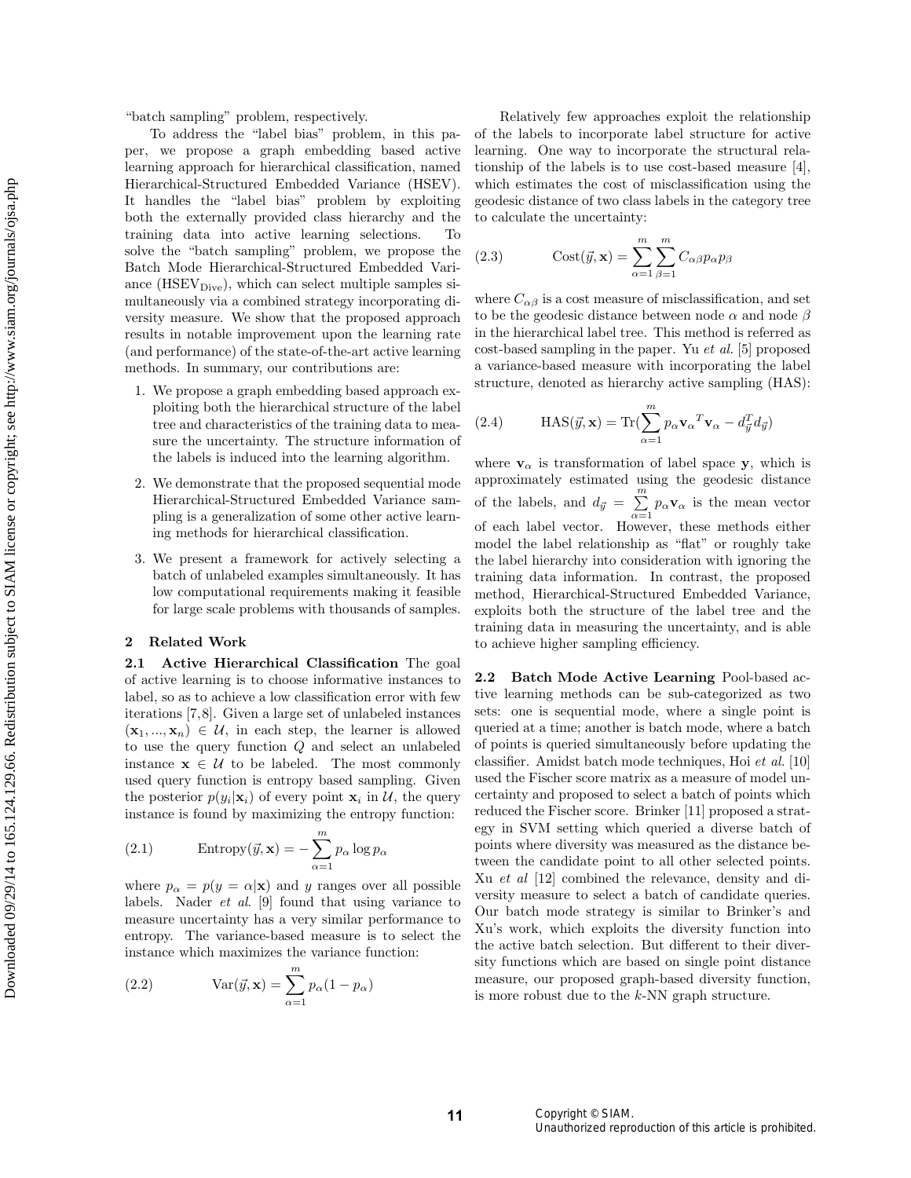"batch sampling" problem, respectively.

To address the "label bias" problem, in this paper, we propose a graph embedding based active learning approach for hierarchical classification, named Hierarchical-Structured Embedded Variance (HSEV). It handles the "label bias" problem by exploiting both the externally provided class hierarchy and the training data into active learning selections. To solve the "batch sampling" problem, we propose the Batch Mode Hierarchical-Structured Embedded Variance ( $HSEV<sub>Dive</sub>$ ), which can select multiple samples simultaneously via a combined strategy incorporating diversity measure. We show that the proposed approach results in notable improvement upon the learning rate (and performance) of the state-of-the-art active learning methods. In summary, our contributions are:

- 1. We propose a graph embedding based approach exploiting both the hierarchical structure of the label tree and characteristics of the training data to measure the uncertainty. The structure information of the labels is induced into the learning algorithm.
- 2. We demonstrate that the proposed sequential mode Hierarchical-Structured Embedded Variance sampling is a generalization of some other active learning methods for hierarchical classification.
- 3. We present a framework for actively selecting a batch of unlabeled examples simultaneously. It has low computational requirements making it feasible for large scale problems with thousands of samples.

### 2 Related Work

2.1 Active Hierarchical Classification The goal of active learning is to choose informative instances to label, so as to achieve a low classification error with few iterations [7,8]. Given a large set of unlabeled instances  $(\mathbf{x}_1, ..., \mathbf{x}_n) \in \mathcal{U}$ , in each step, the learner is allowed to use the query function  $Q$  and select an unlabeled instance  $x \in \mathcal{U}$  to be labeled. The most commonly used query function is entropy based sampling. Given the posterior  $p(y_i|\mathbf{x}_i)$  of every point  $\mathbf{x}_i$  in U, the query instance is found by maximizing the entropy function:

(2.1) Entropy(
$$
\vec{y}, \mathbf{x}
$$
) =  $-\sum_{\alpha=1}^{m} p_{\alpha} \log p_{\alpha}$ 

where  $p_{\alpha} = p(y = \alpha | \mathbf{x})$  and y ranges over all possible labels. Nader et al. [9] found that using variance to measure uncertainty has a very similar performance to entropy. The variance-based measure is to select the instance which maximizes the variance function:

(2.2) 
$$
Var(\vec{y}, \mathbf{x}) = \sum_{\alpha=1}^{m} p_{\alpha} (1 - p_{\alpha})
$$

Relatively few approaches exploit the relationship of the labels to incorporate label structure for active learning. One way to incorporate the structural relationship of the labels is to use cost-based measure [4], which estimates the cost of misclassification using the geodesic distance of two class labels in the category tree to calculate the uncertainty:

(2.3) 
$$
\operatorname{Cost}(\vec{y}, \mathbf{x}) = \sum_{\alpha=1}^{m} \sum_{\beta=1}^{m} C_{\alpha\beta} p_{\alpha} p_{\beta}
$$

where  $C_{\alpha\beta}$  is a cost measure of misclassification, and set to be the geodesic distance between node  $\alpha$  and node  $\beta$ in the hierarchical label tree. This method is referred as cost-based sampling in the paper. Yu et al. [5] proposed a variance-based measure with incorporating the label structure, denoted as hierarchy active sampling (HAS):

(2.4) 
$$
\text{HAS}(\vec{y}, \mathbf{x}) = \text{Tr}(\sum_{\alpha=1}^{m} p_{\alpha} \mathbf{v}_{\alpha}^{T} \mathbf{v}_{\alpha} - d_{\vec{y}}^{T} d_{\vec{y}})
$$

where  $v_{\alpha}$  is transformation of label space y, which is approximately estimated using the geodesic distance of the labels, and  $d_{\vec{y}} = \sum_{\alpha=1}^{m} p_{\alpha} \mathbf{v}_{\alpha}$  is the mean vector of each label vector. However, these methods either model the label relationship as "flat" or roughly take the label hierarchy into consideration with ignoring the training data information. In contrast, the proposed method, Hierarchical-Structured Embedded Variance, exploits both the structure of the label tree and the training data in measuring the uncertainty, and is able to achieve higher sampling efficiency.

2.2 Batch Mode Active Learning Pool-based active learning methods can be sub-categorized as two sets: one is sequential mode, where a single point is queried at a time; another is batch mode, where a batch of points is queried simultaneously before updating the classifier. Amidst batch mode techniques, Hoi et al. [10] used the Fischer score matrix as a measure of model uncertainty and proposed to select a batch of points which reduced the Fischer score. Brinker [11] proposed a strategy in SVM setting which queried a diverse batch of points where diversity was measured as the distance between the candidate point to all other selected points. Xu et al [12] combined the relevance, density and diversity measure to select a batch of candidate queries. Our batch mode strategy is similar to Brinker's and Xu's work, which exploits the diversity function into the active batch selection. But different to their diversity functions which are based on single point distance measure, our proposed graph-based diversity function, is more robust due to the k-NN graph structure.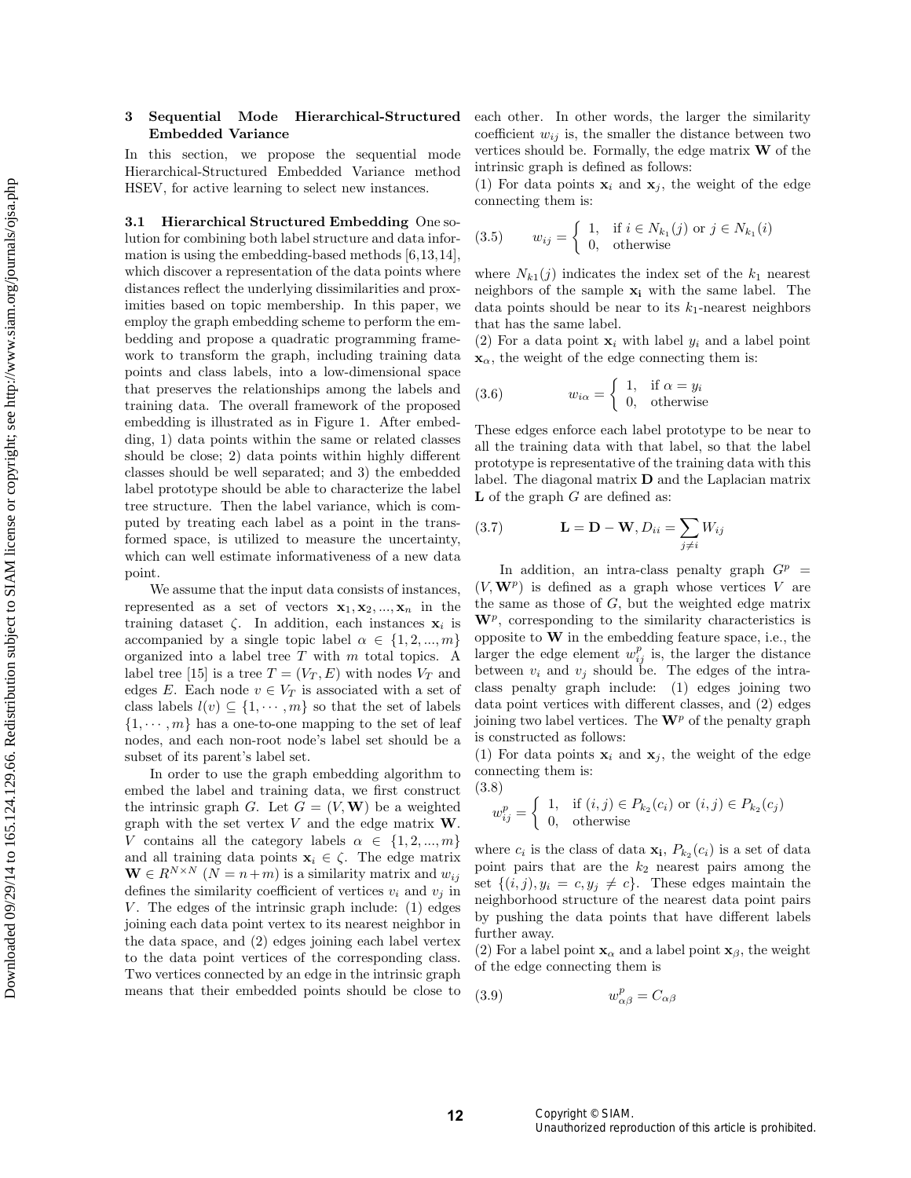#### 3 Sequential Mode Hierarchical-Structured Embedded Variance

In this section, we propose the sequential mode Hierarchical-Structured Embedded Variance method HSEV, for active learning to select new instances.

3.1 Hierarchical Structured Embedding One solution for combining both label structure and data information is using the embedding-based methods [6,13,14], which discover a representation of the data points where distances reflect the underlying dissimilarities and proximities based on topic membership. In this paper, we employ the graph embedding scheme to perform the embedding and propose a quadratic programming framework to transform the graph, including training data points and class labels, into a low-dimensional space that preserves the relationships among the labels and training data. The overall framework of the proposed embedding is illustrated as in Figure 1. After embedding, 1) data points within the same or related classes should be close; 2) data points within highly different classes should be well separated; and 3) the embedded label prototype should be able to characterize the label tree structure. Then the label variance, which is computed by treating each label as a point in the transformed space, is utilized to measure the uncertainty, which can well estimate informativeness of a new data point.

We assume that the input data consists of instances, represented as a set of vectors  $x_1, x_2, ..., x_n$  in the training dataset  $\zeta$ . In addition, each instances  $x_i$  is accompanied by a single topic label  $\alpha \in \{1, 2, ..., m\}$ organized into a label tree  $T$  with  $m$  total topics. A label tree [15] is a tree  $T = (V_T, E)$  with nodes  $V_T$  and edges E. Each node  $v \in V_T$  is associated with a set of class labels  $l(v) \subseteq \{1, \cdots, m\}$  so that the set of labels  $\{1, \dots, m\}$  has a one-to-one mapping to the set of leaf nodes, and each non-root node's label set should be a subset of its parent's label set.

In order to use the graph embedding algorithm to embed the label and training data, we first construct the intrinsic graph G. Let  $G = (V, \mathbf{W})$  be a weighted graph with the set vertex  $V$  and the edge matrix  $W$ . V contains all the category labels  $\alpha \in \{1, 2, ..., m\}$ and all training data points  $\mathbf{x}_i \in \zeta$ . The edge matrix  $\mathbf{W} \in R^{N \times N}$   $(N=n+m)$  is a similarity matrix and  $w_{ij}$ defines the similarity coefficient of vertices  $v_i$  and  $v_j$  in  $V$ . The edges of the intrinsic graph include:  $(1)$  edges joining each data point vertex to its nearest neighbor in the data space, and (2) edges joining each label vertex to the data point vertices of the corresponding class. Two vertices connected by an edge in the intrinsic graph means that their embedded points should be close to

each other. In other words, the larger the similarity coefficient  $w_{ij}$  is, the smaller the distance between two vertices should be. Formally, the edge matrix  $\bf{W}$  of the intrinsic graph is defined as follows:

(1) For data points  $x_i$  and  $x_j$ , the weight of the edge connecting them is:

(3.5) 
$$
w_{ij} = \begin{cases} 1, & \text{if } i \in N_{k_1}(j) \text{ or } j \in N_{k_1}(i) \\ 0, & \text{otherwise} \end{cases}
$$

where  $N_{k1}(j)$  indicates the index set of the  $k_1$  nearest neighbors of the sample  $x_i$  with the same label. The data points should be near to its  $k_1$ -nearest neighbors that has the same label.

(2) For a data point  $\mathbf{x}_i$  with label  $y_i$  and a label point  $\mathbf{x}_{\alpha}$ , the weight of the edge connecting them is:

(3.6) 
$$
w_{i\alpha} = \begin{cases} 1, & \text{if } \alpha = y_i \\ 0, & \text{otherwise} \end{cases}
$$

These edges enforce each label prototype to be near to all the training data with that label, so that the label prototype is representative of the training data with this label. The diagonal matrix D and the Laplacian matrix  $L$  of the graph  $G$  are defined as:

(3.7) 
$$
\mathbf{L} = \mathbf{D} - \mathbf{W}, D_{ii} = \sum_{j \neq i} W_{ij}
$$

In addition, an intra-class penalty graph  $G^p =$  $(V, \mathbf{W}^p)$  is defined as a graph whose vertices V are the same as those of  $G$ , but the weighted edge matrix  $\mathbf{W}^{p}$ , corresponding to the similarity characteristics is opposite to  $W$  in the embedding feature space, i.e., the larger the edge element  $w_{ij}^p$  is, the larger the distance between  $v_i$  and  $v_j$  should be. The edges of the intraclass penalty graph include: (1) edges joining two data point vertices with different classes, and (2) edges joining two label vertices. The  $\mathbf{W}^p$  of the penalty graph is constructed as follows:

(1) For data points  $x_i$  and  $x_j$ , the weight of the edge connecting them is:

$$
w_{ij}^p = \begin{cases} 1, & \text{if } (i,j) \in P_{k_2}(c_i) \text{ or } (i,j) \in P_{k_2}(c_j) \\ 0, & \text{otherwise} \end{cases}
$$

where  $c_i$  is the class of data  $\mathbf{x_i}$ ,  $P_{k_2}(c_i)$  is a set of data point pairs that are the  $k_2$  nearest pairs among the set  $\{(i, j), y_i = c, y_j \neq c\}$ . These edges maintain the neighborhood structure of the nearest data point pairs by pushing the data points that have different labels further away.

(2) For a label point  $\mathbf{x}_{\alpha}$  and a label point  $\mathbf{x}_{\beta}$ , the weight of the edge connecting them is

$$
(3.9) \t\t w_{\alpha\beta}^p = C_{\alpha\beta}
$$

(3.8)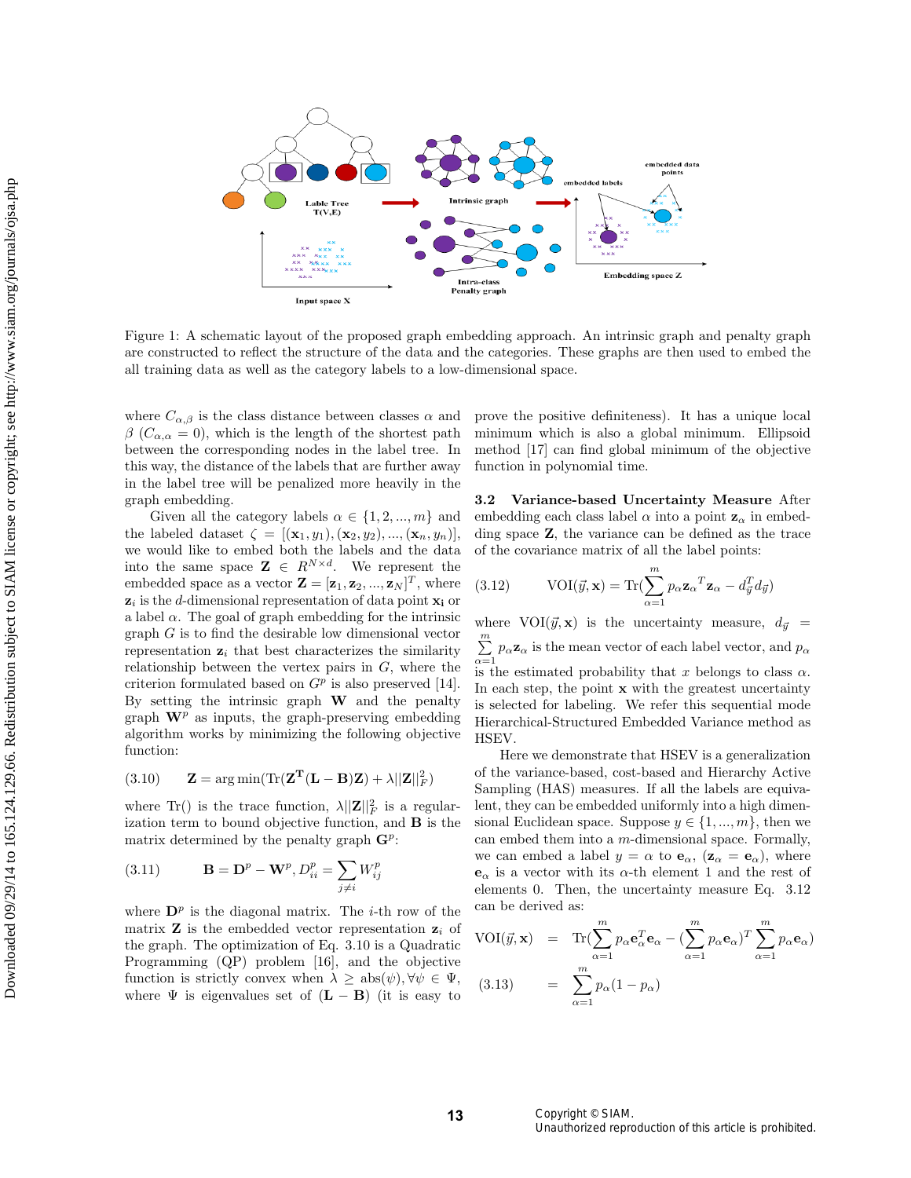

Figure 1: A schematic layout of the proposed graph embedding approach. An intrinsic graph and penalty graph are constructed to reflect the structure of the data and the categories. These graphs are then used to embed the all training data as well as the category labels to a low-dimensional space.

where  $C_{\alpha,\beta}$  is the class distance between classes  $\alpha$  and  $\beta$  ( $C_{\alpha,\alpha} = 0$ ), which is the length of the shortest path between the corresponding nodes in the label tree. In this way, the distance of the labels that are further away in the label tree will be penalized more heavily in the graph embedding.

Given all the category labels  $\alpha \in \{1, 2, ..., m\}$  and the labeled dataset  $\zeta = [({\bf x}_1, y_1), ({\bf x}_2, y_2), ..., ({\bf x}_n, y_n)],$ we would like to embed both the labels and the data into the same space  $\mathbf{Z} \in R^{N \times d}$ . We represent the embedded space as a vector  $\mathbf{Z} = [\mathbf{z}_1, \mathbf{z}_2, ..., \mathbf{z}_N]^T$ , where  $z_i$  is the d-dimensional representation of data point  $x_i$  or a label  $\alpha$ . The goal of graph embedding for the intrinsic graph G is to find the desirable low dimensional vector representation  $z_i$  that best characterizes the similarity relationship between the vertex pairs in  $G$ , where the criterion formulated based on  $G<sup>p</sup>$  is also preserved [14]. By setting the intrinsic graph  $W$  and the penalty graph  $\mathbf{W}^p$  as inputs, the graph-preserving embedding algorithm works by minimizing the following objective function:

(3.10) 
$$
\mathbf{Z} = \arg \min (\text{Tr}(\mathbf{Z}^{\mathbf{T}}(\mathbf{L} - \mathbf{B})\mathbf{Z}) + \lambda ||\mathbf{Z}||_F^2)
$$

where Tr() is the trace function,  $\lambda ||\mathbf{Z}||_F^2$  is a regularization term to bound objective function, and B is the matrix determined by the penalty graph  $\mathbf{G}^p$ :

(3.11) 
$$
\mathbf{B} = \mathbf{D}^{p} - \mathbf{W}^{p}, D_{ii}^{p} = \sum_{j \neq i} W_{ij}^{p}
$$

where  $\mathbf{D}^p$  is the diagonal matrix. The *i*-th row of the matrix  $\mathbf{Z}$  is the embedded vector representation  $\mathbf{z}_i$  of the graph. The optimization of Eq. 3.10 is a Quadratic Programming (QP) problem [16], and the objective function is strictly convex when  $\lambda > abs(\psi), \forall \psi \in \Psi$ , where  $\Psi$  is eigenvalues set of  $(L - B)$  (it is easy to prove the positive definiteness). It has a unique local minimum which is also a global minimum. Ellipsoid method [17] can find global minimum of the objective function in polynomial time.

3.2 Variance-based Uncertainty Measure After embedding each class label  $\alpha$  into a point  $z_{\alpha}$  in embedding space Z, the variance can be defined as the trace of the covariance matrix of all the label points:

(3.12) 
$$
\text{VOI}(\vec{y}, \mathbf{x}) = \text{Tr}(\sum_{\alpha=1}^{m} p_{\alpha} \mathbf{z}_{\alpha}^{T} \mathbf{z}_{\alpha} - d_{\vec{y}}^{T} d_{\vec{y}})
$$

where  $\text{VOI}(\vec{y}, \mathbf{x})$  is the uncertainty measure,  $d_{\vec{y}} = \frac{m}{m}$  $\sum_{\alpha=1} p_{\alpha} \mathbf{z}_{\alpha}$  is the mean vector of each label vector, and  $p_{\alpha}$ is the estimated probability that x belongs to class  $\alpha$ . In each step, the point  $x$  with the greatest uncertainty is selected for labeling. We refer this sequential mode Hierarchical-Structured Embedded Variance method as HSEV.

Here we demonstrate that HSEV is a generalization of the variance-based, cost-based and Hierarchy Active Sampling (HAS) measures. If all the labels are equivalent, they can be embedded uniformly into a high dimensional Euclidean space. Suppose  $y \in \{1, ..., m\}$ , then we can embed them into a  $m$ -dimensional space. Formally, we can embed a label  $y = \alpha$  to  $\mathbf{e}_{\alpha}$ ,  $(\mathbf{z}_{\alpha} = \mathbf{e}_{\alpha})$ , where  $\mathbf{e}_{\alpha}$  is a vector with its  $\alpha$ -th element 1 and the rest of elements 0. Then, the uncertainty measure Eq. 3.12 can be derived as:

$$
\text{VOI}(\vec{y}, \mathbf{x}) = \text{Tr}(\sum_{\alpha=1}^{m} p_{\alpha} \mathbf{e}_{\alpha}^{T} \mathbf{e}_{\alpha} - (\sum_{\alpha=1}^{m} p_{\alpha} \mathbf{e}_{\alpha})^{T} \sum_{\alpha=1}^{m} p_{\alpha} \mathbf{e}_{\alpha})
$$
\n
$$
(3.13) = \sum_{\alpha=1}^{m} p_{\alpha} (1 - p_{\alpha})
$$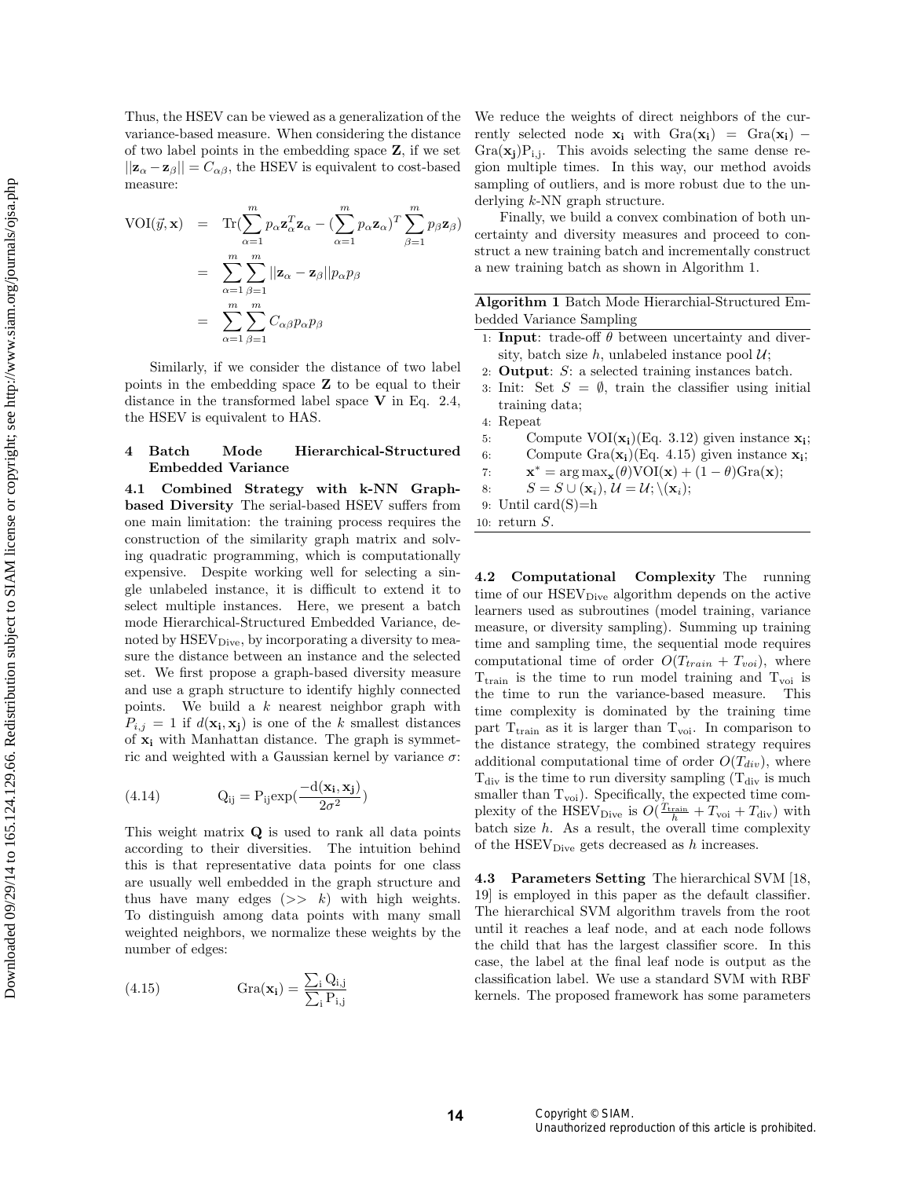Thus, the HSEV can be viewed as a generalization of the variance-based measure. When considering the distance of two label points in the embedding space Z, if we set  $||\mathbf{z}_{\alpha} - \mathbf{z}_{\beta}|| = C_{\alpha\beta}$ , the HSEV is equivalent to cost-based measure:

$$
\text{VOI}(\vec{y}, \mathbf{x}) = \text{Tr}(\sum_{\alpha=1}^{m} p_{\alpha} \mathbf{z}_{\alpha}^{T} \mathbf{z}_{\alpha} - (\sum_{\alpha=1}^{m} p_{\alpha} \mathbf{z}_{\alpha})^{T} \sum_{\beta=1}^{m} p_{\beta} \mathbf{z}_{\beta})
$$

$$
= \sum_{\alpha=1}^{m} \sum_{\beta=1}^{m} ||\mathbf{z}_{\alpha} - \mathbf{z}_{\beta}|| p_{\alpha} p_{\beta}
$$

$$
= \sum_{\alpha=1}^{m} \sum_{\beta=1}^{m} C_{\alpha\beta} p_{\alpha} p_{\beta}
$$

Similarly, if we consider the distance of two label points in the embedding space Z to be equal to their distance in the transformed label space  $V$  in Eq. 2.4, the HSEV is equivalent to HAS.

#### 4 Batch Mode Hierarchical-Structured Embedded Variance

4.1 Combined Strategy with k-NN Graphbased Diversity The serial-based HSEV suffers from one main limitation: the training process requires the construction of the similarity graph matrix and solving quadratic programming, which is computationally expensive. Despite working well for selecting a single unlabeled instance, it is difficult to extend it to select multiple instances. Here, we present a batch mode Hierarchical-Structured Embedded Variance, denoted by  $HSEV_{\text{Dive}}$ , by incorporating a diversity to measure the distance between an instance and the selected set. We first propose a graph-based diversity measure and use a graph structure to identify highly connected points. We build a k nearest neighbor graph with  $P_{i,j} = 1$  if  $d(\mathbf{x_i}, \mathbf{x_j})$  is one of the k smallest distances of  $x_i$  with Manhattan distance. The graph is symmetric and weighted with a Gaussian kernel by variance  $\sigma$ :

(4.14) 
$$
Q_{ij} = P_{ij} exp(\frac{-d(\mathbf{x_i}, \mathbf{x_j})}{2\sigma^2})
$$

This weight matrix Q is used to rank all data points according to their diversities. The intuition behind this is that representative data points for one class are usually well embedded in the graph structure and thus have many edges  $(\gg k)$  with high weights. To distinguish among data points with many small weighted neighbors, we normalize these weights by the number of edges:

(4.15) 
$$
Gra(\mathbf{x_i}) = \frac{\sum_{i} Q_{i,j}}{\sum_{i} P_{i,j}}
$$

We reduce the weights of direct neighbors of the currently selected node  $x_i$  with  $Gra(x_i) = Gra(x_i)$  –  $Gra(\mathbf{x}_j)P_{i,j}$ . This avoids selecting the same dense region multiple times. In this way, our method avoids sampling of outliers, and is more robust due to the underlying k-NN graph structure.

Finally, we build a convex combination of both uncertainty and diversity measures and proceed to construct a new training batch and incrementally construct a new training batch as shown in Algorithm 1.

Algorithm 1 Batch Mode Hierarchial-Structured Embedded Variance Sampling

- 1: **Input:** trade-off  $\theta$  between uncertainty and diversity, batch size h, unlabeled instance pool  $\mathcal{U}$ ;
- 2: **Output:**  $S$ : a selected training instances batch.
- 3: Init: Set  $S = \emptyset$ , train the classifier using initial training data;
- 4: Repeat
- 5: Compute  $\text{VOI}(\mathbf{x_i})(\text{Eq. 3.12})$  given instance  $\mathbf{x_i}$ ;
- 6: Compute  $\text{Gra}(\mathbf{x_i})(\text{Eq. } 4.15)$  given instance  $\mathbf{x_i}$ ;
- 7:  $\mathbf{x}^* = \arg \max_{\mathbf{x}} (\theta) \text{VOI}(\mathbf{x}) + (1 \theta) \text{Gra}(\mathbf{x});$

8: 
$$
S = S \cup (\mathbf{x}_i), \mathcal{U} = \mathcal{U}; \setminus (\mathbf{x}_i);
$$

9: Until card(S)=h 10: return  $S$ .

4.2 Computational Complexity The running time of our  $HSEV<sub>Dive</sub>$  algorithm depends on the active learners used as subroutines (model training, variance measure, or diversity sampling). Summing up training time and sampling time, the sequential mode requires computational time of order  $O(T_{train} + T_{voi})$ , where  $T<sub>train</sub>$  is the time to run model training and  $T<sub>voi</sub>$  is the time to run the variance-based measure. This time complexity is dominated by the training time part  $T_{train}$  as it is larger than  $T_{voi}$ . In comparison to the distance strategy, the combined strategy requires additional computational time of order  $O(T_{div})$ , where  $T_{div}$  is the time to run diversity sampling  $(T_{div}$  is much smaller than  $T_{\text{voi}}$ ). Specifically, the expected time complexity of the HSEV<sub>Dive</sub> is  $O(\frac{T_{\text{train}}}{h} + T_{\text{voi}} + T_{\text{div}})$  with batch size  $h$ . As a result, the overall time complexity of the  $HSEV<sub>Dive</sub>$  gets decreased as h increases.

4.3 Parameters Setting The hierarchical SVM [18, 19] is employed in this paper as the default classifier. The hierarchical SVM algorithm travels from the root until it reaches a leaf node, and at each node follows the child that has the largest classifier score. In this case, the label at the final leaf node is output as the classification label. We use a standard SVM with RBF kernels. The proposed framework has some parameters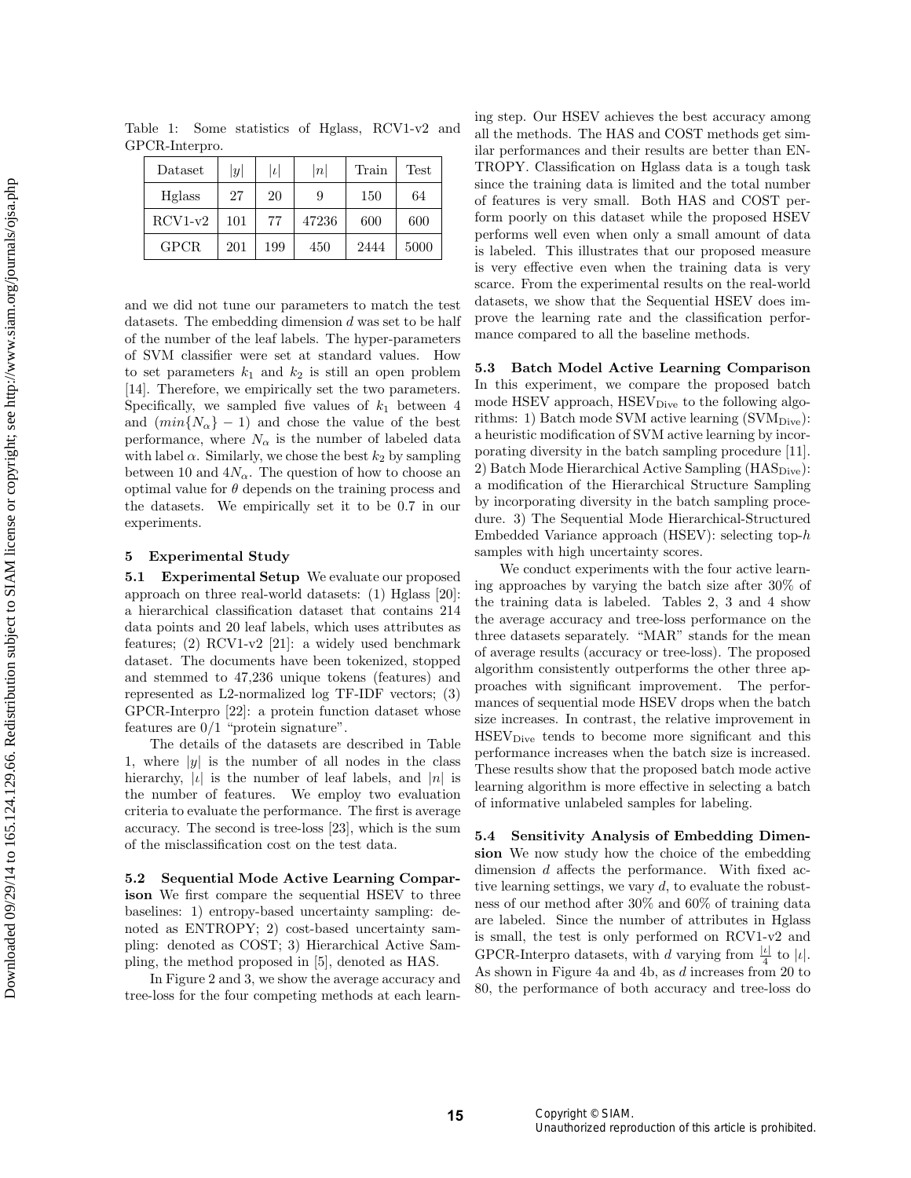| Dataset   | y   | $ \iota $ | n     | Train | Test |
|-----------|-----|-----------|-------|-------|------|
| Hglass    | 27  | 20        | 9     | 150   | 64   |
| $RCV1-v2$ | 101 | 77        | 47236 | 600   | 600  |
| GPCR.     | 201 | 199       | 450   | 2444  | 5000 |

Table 1: Some statistics of Hglass, RCV1-v2 and GPCR-Interpro.

and we did not tune our parameters to match the test datasets. The embedding dimension d was set to be half of the number of the leaf labels. The hyper-parameters of SVM classifier were set at standard values. How to set parameters  $k_1$  and  $k_2$  is still an open problem [14]. Therefore, we empirically set the two parameters. Specifically, we sampled five values of  $k_1$  between 4 and  $(min{N_{\alpha}} - 1)$  and chose the value of the best performance, where  $N_{\alpha}$  is the number of labeled data with label  $\alpha$ . Similarly, we chose the best  $k_2$  by sampling between 10 and  $4N_{\alpha}$ . The question of how to choose an optimal value for  $\theta$  depends on the training process and the datasets. We empirically set it to be 0.7 in our experiments.

#### 5 Experimental Study

5.1 Experimental Setup We evaluate our proposed approach on three real-world datasets: (1) Hglass [20]: a hierarchical classification dataset that contains 214 data points and 20 leaf labels, which uses attributes as features; (2) RCV1-v2 [21]: a widely used benchmark dataset. The documents have been tokenized, stopped and stemmed to 47,236 unique tokens (features) and represented as L2-normalized log TF-IDF vectors; (3) GPCR-Interpro [22]: a protein function dataset whose features are 0/1 "protein signature".

The details of the datasets are described in Table 1, where  $|y|$  is the number of all nodes in the class hierarchy, ||l| is the number of leaf labels, and  $|n|$  is the number of features. We employ two evaluation criteria to evaluate the performance. The first is average accuracy. The second is tree-loss [23], which is the sum of the misclassification cost on the test data.

5.2 Sequential Mode Active Learning Comparison We first compare the sequential HSEV to three baselines: 1) entropy-based uncertainty sampling: denoted as ENTROPY; 2) cost-based uncertainty sampling: denoted as COST; 3) Hierarchical Active Sampling, the method proposed in [5], denoted as HAS.

In Figure 2 and 3, we show the average accuracy and tree-loss for the four competing methods at each learning step. Our HSEV achieves the best accuracy among all the methods. The HAS and COST methods get similar performances and their results are better than EN-TROPY. Classification on Hglass data is a tough task since the training data is limited and the total number of features is very small. Both HAS and COST perform poorly on this dataset while the proposed HSEV performs well even when only a small amount of data is labeled. This illustrates that our proposed measure is very effective even when the training data is very scarce. From the experimental results on the real-world datasets, we show that the Sequential HSEV does improve the learning rate and the classification performance compared to all the baseline methods.

5.3 Batch Model Active Learning Comparison In this experiment, we compare the proposed batch mode HSEV approach,  $HSEV<sub>Dive</sub>$  to the following algorithms: 1) Batch mode SVM active learning  $(SVM_{\text{Div}})$ : a heuristic modification of SVM active learning by incorporating diversity in the batch sampling procedure [11]. 2) Batch Mode Hierarchical Active Sampling  $(HAS<sub>Dive</sub>)$ : a modification of the Hierarchical Structure Sampling by incorporating diversity in the batch sampling procedure. 3) The Sequential Mode Hierarchical-Structured Embedded Variance approach (HSEV): selecting top-h samples with high uncertainty scores.

We conduct experiments with the four active learning approaches by varying the batch size after 30% of the training data is labeled. Tables 2, 3 and 4 show the average accuracy and tree-loss performance on the three datasets separately. "MAR" stands for the mean of average results (accuracy or tree-loss). The proposed algorithm consistently outperforms the other three approaches with significant improvement. The performances of sequential mode HSEV drops when the batch size increases. In contrast, the relative improvement in  $HSEV<sub>Dive</sub>$  tends to become more significant and this performance increases when the batch size is increased. These results show that the proposed batch mode active learning algorithm is more effective in selecting a batch of informative unlabeled samples for labeling.

5.4 Sensitivity Analysis of Embedding Dimension We now study how the choice of the embedding dimension d affects the performance. With fixed active learning settings, we vary  $d$ , to evaluate the robustness of our method after 30% and 60% of training data are labeled. Since the number of attributes in Hglass is small, the test is only performed on RCV1-v2 and GPCR-Interpro datasets, with d varying from  $\frac{|i|}{4}$  to  $|i|$ . As shown in Figure 4a and 4b, as d increases from 20 to 80, the performance of both accuracy and tree-loss do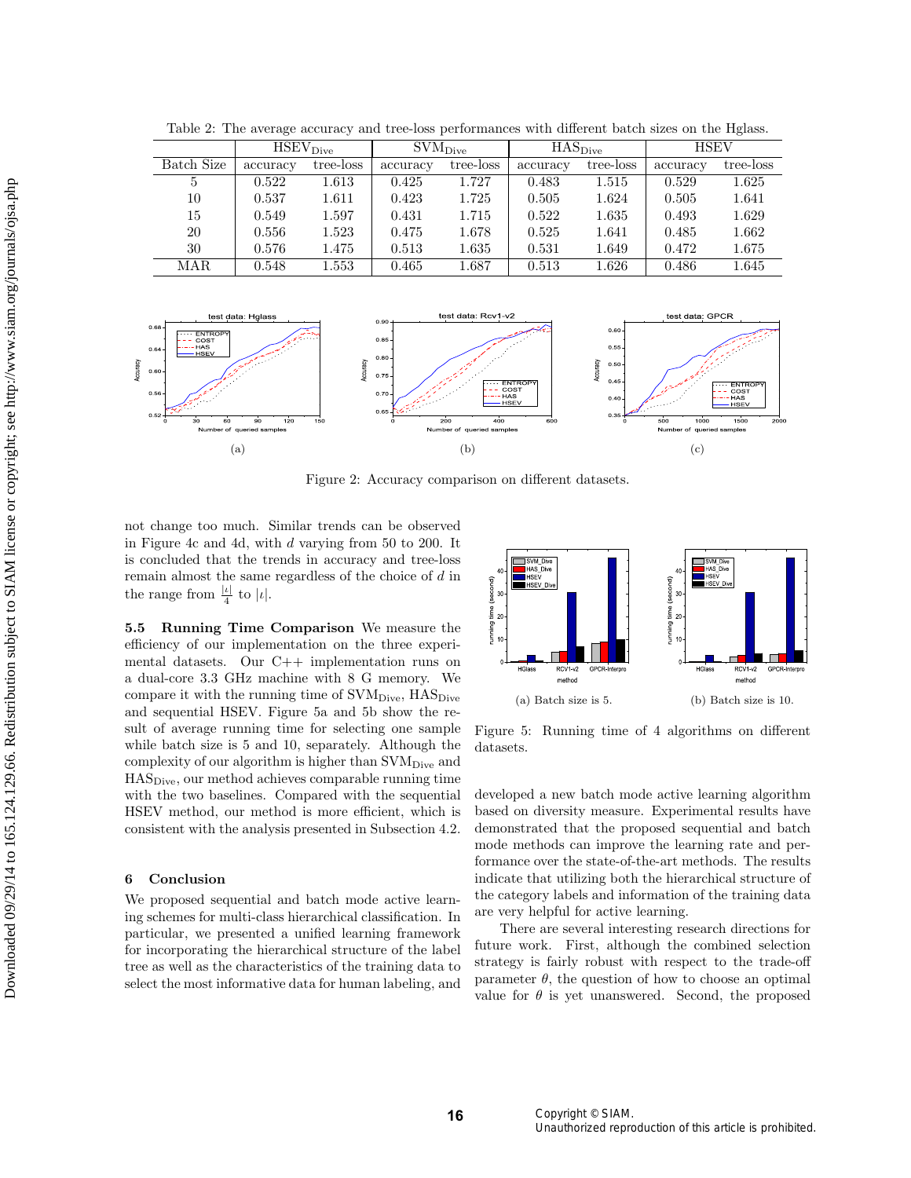|            | $HSEV_{\text{Dive}}$ |           | $\rm SVM_{\rm{Dice}}$ |           | HAS <sub>Dice</sub> |           | <b>HSEV</b> |           |
|------------|----------------------|-----------|-----------------------|-----------|---------------------|-----------|-------------|-----------|
| Batch Size | accuracy             | tree-loss | accuracy              | tree-loss | accuracy            | tree-loss | accuracy    | tree-loss |
| 5          | 0.522                | 1.613     | 0.425                 | 1.727     | 0.483               | 1.515     | 0.529       | 1.625     |
| 10         | 0.537                | 1.611     | 0.423                 | 1.725     | 0.505               | 1.624     | 0.505       | 1.641     |
| 15         | 0.549                | 1.597     | 0.431                 | 1.715     | 0.522               | 1.635     | 0.493       | 1.629     |
| 20         | 0.556                | 1.523     | 0.475                 | 1.678     | 0.525               | 1.641     | 0.485       | 1.662     |
| 30         | 0.576                | 1.475     | 0.513                 | 1.635     | 0.531               | 1.649     | 0.472       | 1.675     |
| MAR.       | 0.548                | 1.553     | 0.465                 | 1.687     | 0.513               | 1.626     | 0.486       | 1.645     |

Table 2: The average accuracy and tree-loss performances with different batch sizes on the Hglass.



Figure 2: Accuracy comparison on different datasets.

not change too much. Similar trends can be observed in Figure 4c and 4d, with d varying from 50 to 200. It is concluded that the trends in accuracy and tree-loss remain almost the same regardless of the choice of d in the range from  $\frac{|\iota|}{4}$  to  $|\iota|$ .

5.5 Running Time Comparison We measure the efficiency of our implementation on the three experimental datasets. Our C++ implementation runs on a dual-core 3.3 GHz machine with 8 G memory. We compare it with the running time of  $\text{SVM}_{\text{Dive}}$ ,  $\text{HAS}_{\text{Dive}}$ and sequential HSEV. Figure 5a and 5b show the result of average running time for selecting one sample while batch size is 5 and 10, separately. Although the complexity of our algorithm is higher than  $\text{SVM}_{\text{Dive}}$  and  $HAS<sub>Dive</sub>$ , our method achieves comparable running time with the two baselines. Compared with the sequential HSEV method, our method is more efficient, which is consistent with the analysis presented in Subsection 4.2.

#### 6 Conclusion

We proposed sequential and batch mode active learning schemes for multi-class hierarchical classification. In particular, we presented a unified learning framework for incorporating the hierarchical structure of the label tree as well as the characteristics of the training data to select the most informative data for human labeling, and



Figure 5: Running time of 4 algorithms on different datasets.

developed a new batch mode active learning algorithm based on diversity measure. Experimental results have demonstrated that the proposed sequential and batch mode methods can improve the learning rate and performance over the state-of-the-art methods. The results indicate that utilizing both the hierarchical structure of the category labels and information of the training data are very helpful for active learning.

There are several interesting research directions for future work. First, although the combined selection strategy is fairly robust with respect to the trade-off parameter  $\theta$ , the question of how to choose an optimal value for  $\theta$  is yet unanswered. Second, the proposed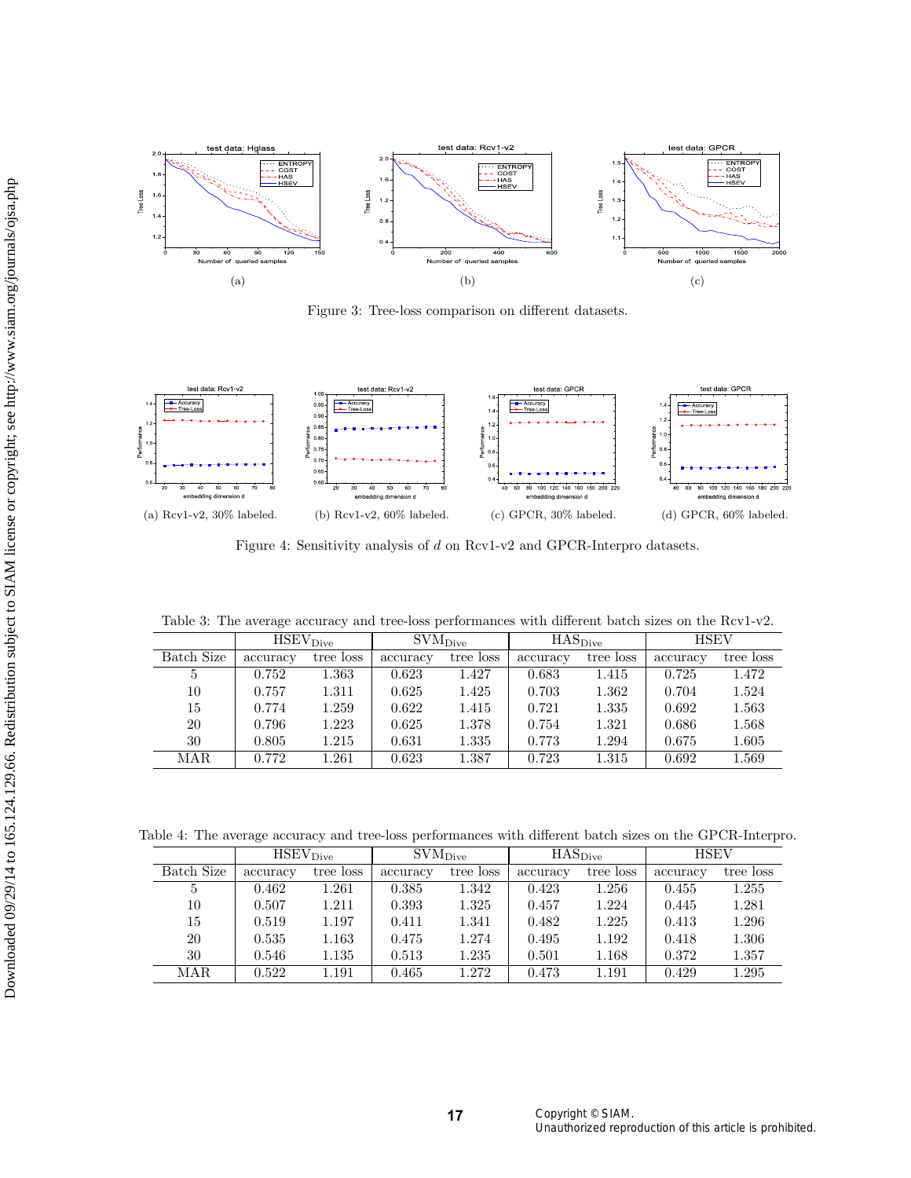

Figure 3: Tree-loss comparison on different datasets.



Figure 4: Sensitivity analysis of d on Rcv1-v2 and GPCR-Interpro datasets.

Table 3: The average accuracy and tree-loss performances with different batch sizes on the Rcv1-v2.

|            | $HSEV_{\text{Dive}}$ |           | $\text{SVM}_{\text{Dive}}$ |           | HAS <sub>Dive</sub> |           | <b>HSEV</b> |           |
|------------|----------------------|-----------|----------------------------|-----------|---------------------|-----------|-------------|-----------|
| Batch Size | accuracy             | tree loss | accuracy                   | tree loss | accuracy            | tree loss | accuracy    | tree loss |
| 5          | 0.752                | 1.363     | 0.623                      | 1.427     | 0.683               | 1.415     | 0.725       | 1.472     |
| 10         | 0.757                | 1.311     | 0.625                      | 1.425     | 0.703               | 1.362     | 0.704       | 1.524     |
| 15         | 0.774                | 1.259     | 0.622                      | 1.415     | 0.721               | 1.335     | 0.692       | 1.563     |
| 20         | 0.796                | 1.223     | 0.625                      | 1.378     | 0.754               | 1.321     | 0.686       | 1.568     |
| 30         | 0.805                | 1.215     | 0.631                      | 1.335     | 0.773               | 1.294     | 0.675       | 1.605     |
| MAR        | 0.772                | 1.261     | 0.623                      | 1.387     | 0.723               | 1.315     | 0.692       | 1.569     |

Table 4: The average accuracy and tree-loss performances with different batch sizes on the GPCR-Interpro.

|            | $\overline{\text{HSEV}}_{\text{Dive}}$ |           | $\text{SVM}_{\text{Dice}}$ |           | HAS <sub>Dive</sub> |           | HSEV     |           |
|------------|----------------------------------------|-----------|----------------------------|-----------|---------------------|-----------|----------|-----------|
| Batch Size | accuracy                               | tree loss | accuracy                   | tree loss | accuracy            | tree loss | accuracy | tree loss |
| 5          | 0.462                                  | 1.261     | 0.385                      | 1.342     | 0.423               | 1.256     | 0.455    | 1.255     |
| 10         | 0.507                                  | 1.211     | 0.393                      | 1.325     | 0.457               | 1.224     | 0.445    | 1.281     |
| 15         | 0.519                                  | 1.197     | 0.411                      | 1.341     | 0.482               | 1.225     | 0.413    | 1.296     |
| 20         | 0.535                                  | 1.163     | 0.475                      | 1.274     | 0.495               | 1.192     | 0.418    | 1.306     |
| 30         | 0.546                                  | 1.135     | 0.513                      | 1.235     | 0.501               | 1.168     | 0.372    | 1.357     |
| MAR.       | 0.522                                  | 1.191     | 0.465                      | 1.272     | 0.473               | 1.191     | 0.429    | 1.295     |